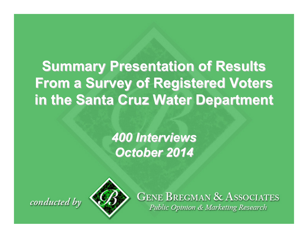# **Summary Presentation of Results From a Survey of Registered Voters From a Survey of Registered Voters in the Santa Cruz Water Department in the Santa Cruz Water Department**

*400 Interviews 400 InterviewsOctober 2014 October 2014*





**GENE BREGMAN & ASSOCIATES** Public Opinion & Marketing Research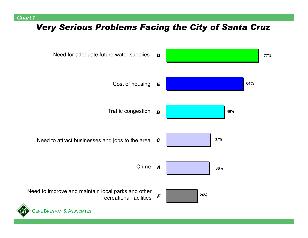#### *Chart 1*

### *Very Serious Problems Facing the City of Santa Cruz*

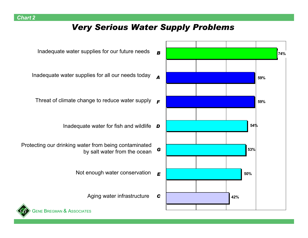### *Very Serious Water Supply Problems*

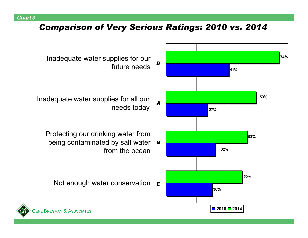### *Comparison of Very Serious Ratings: 2010 vs. 2014*



- Inadequate water supplies for our future needs
- Inadequate water supplies for all our needs today
	- being contaminated by salt water  $\,$  **G** Protecting our drinking water from from the ocean
		- Not enough water conservation  $|_{\bm{E}}$

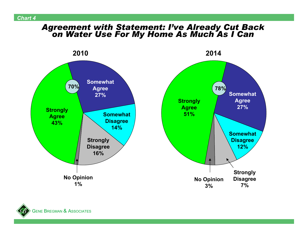# *Agreement with Statement: I've Already Cut Back on Water Use For My Home As Much As I Can*



**G**ENE BREGMAN **& A**ssociates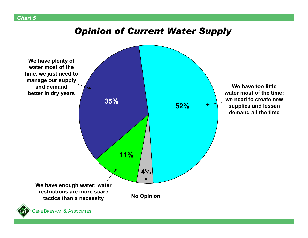#### *Chart 5*

# *Opinion of Current Water Supply*

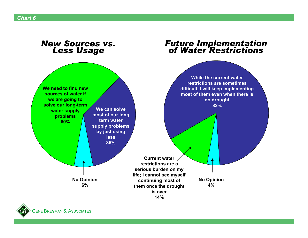#### *New Sources vs. Less Usage*

# *Future Implementation of Water Restrictions*



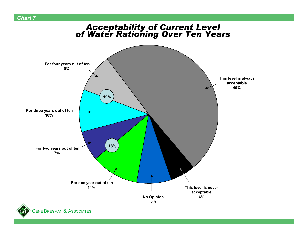# *Acceptability of Current Level of Water Rationing Over Ten Years*





*Chart 7*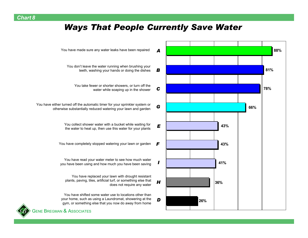### *Ways That People Currently Save Water*



You have made sure any water leaks have been repaired

- You don't leave the water running when brushing your teeth, washing your hands or doing the dishes
	- You take fewer or shorter showers, or turn off the
- You have either turned off the automatic timer for your sprinkler system or otherwise substantially reduced watering your lawn and garden
	- You collect shower water with a bucket while waiting for the water to heat up, then use this water for your plants
	- You have completely stopped watering your lawn or garden
	- You have read your water meter to see how much water you have been using and how much you have been saving
		- You have replaced your lawn with drought resistant plants, paving, tiles, artificial turf, or something else that
	- You have shifted some water use to locations other than your home, such as using a Laundromat, showering at the gym, or something else that you now do away from home



**G**ENE BREGMAN **& A**ssociates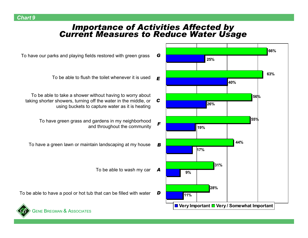# *Importance of Activities Affected by Current Measures to Reduce Water Usage*



To have our parks and playing fields restored with green grass

To be able to flush the toilet whenever it is used

To be able to take a shower without having to worry about taking shorter showers, turning off the water in the middle, or using buckets to capture water as it is heating

> To have green grass and gardens in my neighborhood and throughout the community

To have a green lawn or maintain landscaping at my house

To be able to wash my car *A*

To be able to have a pool or hot tub that can be filled with water



*Chart 9*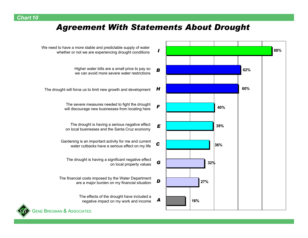### *Agreement With Statements About Drought*

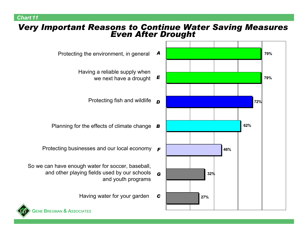#### *Chart 11*

# *Very Important Reasons to Continue Water Saving Measures Even After Drought*



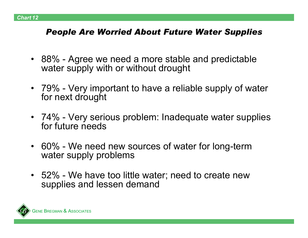### *People Are Worried About Future Water Supplies*

- 88% Agree we need a more stable and predictable water supply with or without drought
- 79% Very important to have a reliable supply of water for next drought
- 74% Very serious problem: Inadequate water supplies for future needs
- 60% We need new sources of water for long-term water supply problems
- 52% We have too little water; need to create new supplies and lessen demand

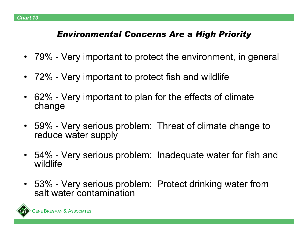# *Environmental Concerns Are a High Priority*

- $\bullet$ 79% - Very important to protect the environment, in general
- •72% - Very important to protect fish and wildlife
- • 62% - Very important to plan for the effects of climate change
- 59% Very serious problem: Threat of climate change to reduce water supply
- • 54% - Very serious problem: Inadequate water for fish and wildlife
- 53% Very serious problem: Protect drinking water from salt water contamination

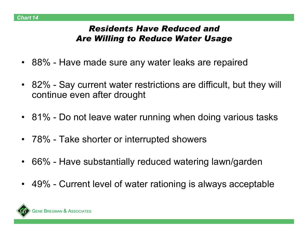# *Residents Have Reduced andAre Willing to Reduce Water Usage*

- 88% Have made sure any water leaks are repaired
- 82% Say current water restrictions are difficult, but they will continue even after drought
- 81% Do not leave water running when doing various tasks
- 78% Take shorter or interrupted showers
- $\bullet$ 66% - Have substantially reduced watering lawn/garden
- 49% Current level of water rationing is always acceptable

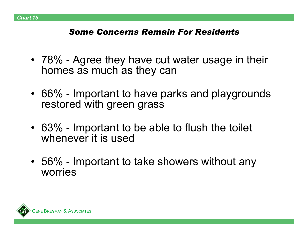# *Some Concerns Remain For Residents*

- 78% Agree they have cut water usage in their homes as much as they can
- 66% Important to have parks and playgrounds restored with green grass
- 63% Important to be able to flush the toilet whenever it is used
- 56% Important to take showers without any worries